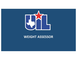

### **WEIGHT ASSESSOR**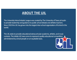### **ABOUT THE UIL**

The University Interscholastic League was created by The University of Texas at Austin to provide leadership and guidance to public school debate and athletic teachers. Since 1910 the UIL has grown into the largest inter-school organization of its kind in the world.

The UIL exists to provide educational extracurricular academic, athletic, and music contests. The initials UIL have come to represent quality educational competition administered by school people on an equitable basis.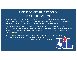### **ASSESSOR CERTIFICATION & RECERTIFICATION**

All weight assessors are required to maintain current certification as an assessor for the Texas University Interscholastic League Minimum Weight Certification Program. The class fee of \$20 (new assessors only) must be pre-paid or paid at the site for credit to be given.

Only 1) licensed health care practitioners; 2) those who have at least a Bachelor's degree in a health/fitness field; and 3) specially approved undergraduate students who participate as part of an assessment team headed up by a team leader who is either 1 or 2 above are eligible to serve as an assessor for this program.

For the 2021-22 school year, current assessors can be recertified by completing the online course through UIL Coaches Certification Program at [http://www.uiltexas.org/uil-porta](https://www.uiltexas.org/uil-portal)l. There is no charge for recertification.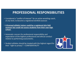### **PROFESSIONAL RESPONSIBILITIES**

- Considered a "conflict of interest" for an active wrestling coach, at any level, to become a registered skinfold assessor.
- **A licensed athletic trainer could be a registered skin fold assessor but could not assess students from their own high school.**
- Automatic concern for professional responsibility and expectation of the highest professional and ethical conduct relative to performing assessments.
- Student athletes should be treated with the highest regard for their "right to privacy" = CONFIDENTIALITY

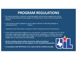### **PROGRAM REGULATIONS**

- For varsity wrestlers, minimum wrestling weight and minimum weight class will be determined by predicted body weight at 7% body fat for males and 12% body fat for females.
- A 2% variance will be applied to each student's Minimum Wrestling Weight as calculated by th[e TrackWrestlin](https://www.trackwrestling.com/)g system.
- Hydration level of less than or equal to 1.025 is required at time of assessment.
- There will be monitored weight loss on the descent. A maximum weight loss of 1.5% of a wrestler's alpha body weight per week has been established. A wrestler who loses more than 1.5% of their alpha body weight in a week is ineligible to compete in the weight class to which they are descending.
- **All UIL wrestling schools will be required to utilize the Optimal Performance Calculator for this program on the TrackWrestling website.**
- **In accordance with NFHS Rule 2-4-2, scales shall be certified annually.**

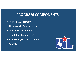## **PROGRAM COMPONENTS**

- Hydration Assessment
- Alpha Weight Determination
- Skin Fold Measurement
- Establishing Minimum Weight
- Establishing Descent Calendar
- Appeals

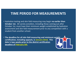### **TIME PERIOD FOR MEASUREMENTS**

- Hydration testing and skin fold measuring may begin **no earlier than October 1st.** All varsity wrestlers, including those coming out after October 1st, must have their minimum weight established by hydration assessment and skin fold measurement prior to any competition with a student from another school.
- **The deadline for all skin fold measuring and minimum weight certification, including appeals, is January 22nd. This date is two weeks prior to the district certification deadline of February 5th.**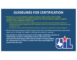### **GUIDELINES FOR CERTIFICATION**

- Wrestlers are now permitted to weigh-in wearing a legal uniform with suitable undergarments. Wrestlers regardless of gender are now permitted to weigh-in together because of the modification of this rule.
	- Female wrestlers shall wear suitable undergarments that completely covers their breasts and that all wrestlers wear suitable undergarments that completely covers parts of their body for the singlet/form-fitted compression shirt.
	- The referee or other authorized individuals, regardless of gender, are permitted to supervise weigh-ins.
- All skin fold measurements shall be made on bare skin. Skin fold measurements shall not be taken over or through the singlet or clothing the wrestler is wearing.
- **Any attempt to violate the protocols of the weight certification process, by adulterating a sample or attempting to cheat, will result in the assessment process being ended, and the student not being eligible for reassessment for 24 hours, at which time they would begin the process from the start.**

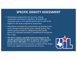### **SPECIFIC GRAVITY ASSESSMENT**

- Dehydration compromises the accuracy of body composition assessments; therefore, all athletes are required to pass a urine specific gravity test in order to be eligible for the body composition assessment.
- Dehydration increases the concentration of particles in the urine, thereby increasing the urine's specific gravity. The specific gravity of water is 1.000g/ml and the specific gravity of a hydrated individual is established at not greater than 1.025.
- **This test is simply a pass/fail assessment based on the specific gravity level less than or equal to 1.025 (pass) or greater than 1.025 (fail).** If an athlete fails the specific gravity test the assessment process is ended and the athlete will not be eligible for reassessment for 24 hours.

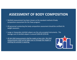### **ASSESSMENT OF BODY COMPOSITION**

- Skinfold measurement has been chosen as the standard method of body composition assessment for the Texas program.
- All personnel conducting the body composition assessment should be certified UIL weight assessors.
- Lange or Harpenden skinfold calipers are the only accepted instruments. The average cost of skinfold calipers is around \$200.00-\$250.00.
- *All skin fold measurements shall be made on bare skin. Skin fold measurements shall not be taken over or through the singlet or clothing the wrestler is wearing.*

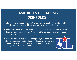- Take skinfold measurements on the right side of the body (most skinfold equations were developed from measurements on the right side).
- Do not take measurements when the subject's skin is moist (ensure that the skin is dry and has no lotion). Also, do not take measurements immediately after exercise.
- To reduce error during the learning phase, skinfold sites should be precisely determined, marked, and verified by a trained instructor. The largest source of error in skinfold testing is inaccurate site selection.

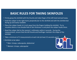- Firmly grasp the skinfold with the thumb and index finger of the left hand and pull away.
- Hold the caliper in the right hand, perpendicular to the skinfold and with the skinfold dial facing up and easily readable.
- Place the caliper heads  $\frac{1}{2}$  inch away from the fingers holding the skinfold. Try to visualize where a true double-fold of skin thickness is and place the caliper heads there.
- Read the caliper dial to the nearest 1 millimeter within 4 seconds. During the measurement, ensure that the left thumb and forefinger maintain the shape of the skinfold.
- Take a minimum of 3 measurements at each site (at least 15 seconds apart).
- Skinfolds to be taken-
	- \* Men: triceps, subscapular, abdominal
	- \* Women: triceps, subscapular

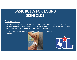### Triceps Skinfold

- Is measured vertically in the midline of the posterior aspect of the upper arm, over the triceps muscle, midway between the lateral acromion process of the scapula and the inferior margin of the olecranon process of the ulna.
- Elbow is flexed to identify the landmarks but extended and relaxed to elevate the skinfold.



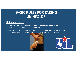### Abdomen Skinfold

- Is measured vertically, the site is located 2 centimeters lateral to the midpoint of the umbilicus and 1 cm inferior to the umbilicus.
- The subject must stand erect with weight on both feet, relax the abdominal wall musculature and breathe normally during the assessment procedure.



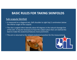#### Sub-scapula Skinfold

- Is measured on a diagonal axis, (left shoulder to right hip) 2 centimeters below the inferior angle of the scapula.
- The site is angled infero-laterally about 45 degrees in the natural cleavage line of the skin. It may be necessary to have the subject place their arm behind the back to make the anatomical features more prominent.
- The arm is returned to the relaxed anatomical position for the measurement.



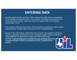### **ENTERING DATA**

- All information for the wrestler will be entered on both the top and bottom of the Weight Certification Form. The assessor will retain the top half of the form; the school and/or coach will retain the bottom half of the Weight Certification Form.
- The assessor will enter the results of the hydration assessment, alpha weight determination and skin fold measurement into TrackWrestling.
- Based on the information reported by the assessor, the weight certification internet calculator will determine the minimum weight class by predicted body weight at 7% body fat for males and 12% body fat for females. *A 2% variance will be applied to each students Minimum Wrestling Weight (MWW) as calculated by the TrackWrestling system.*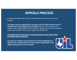### **APPEALS PROCESS**

- A school may appeal the results of the body fat assessment one time per wrestler.
- **The appeal must be submitted (in writing) to the UIL Office within seven (7) calendar days of the initial assessment date.** Schools may not wrestle the wrestler that is appealing below the minimum weight class based on the initial assessment until the results of the appeal are determined.

• *Any appeal assessment must be conducted within 21 days of the initial assessment being conducted.*

• **The coach or wrestler must present the UIL acknowledgement of appeal to the certified assessor performing the appeal before any appeal assessment can be conducted.**

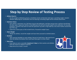### **Step by Step Review of Testing Process**

#### • **Athlete Check In**

- For the weight certification process, all athletes (male and female) shall wear a wrestling singlet. Student athletes appearing for certification and not wearing a wrestling singlet will be refused assessment.
- **Hydration Status**
	- Give athlete a specimen cup. Tell them to go to the bathroom, and they may go into a stall but should keep the door open. Supervisor will be in the bathroom but will not visually inspect urine collection. For security purposes, monitors may want to mark the specimen cup with a ring made by a dry erase marker around the lip of the cup.
	- Supervisor checks pass or fail on both forms. Proceed to weigh if pass.
- **Alpha Weight**
	- Weigh the athlete, record the weight and have them proceed to skinfold station.
- **Skinfolds**
	- Take required skinfolds on each athlete. Record on both forms. Sign both forms. Give the athlete the bottom form and have them give it to their coach.
- **Data Entry**
	- Enter data as soon as possible (**maximum 3 days**) so that coaches and athletes have the chance to appeal if need be.
	- Keep forms for at least 1 month

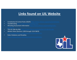### **Links found on UIL Website**

- Constitution & Contest Rules (C&C[R\) https://www.uiltexas.org/policy/constitution](https://www.uiltexas.org/policy/constitution)
- TrackWrestlin[g https://www.trackwrestling.com](https://www.trackwrestling.com/)/
- [Wrestling Assessment Information https://www.uiltexas.org/wrestling/rules](https://www.uiltexas.org/wrestling/rules-guidelines)-
- TEA-UIL Side-by-Sid[e https://www.uiltexas.org/policy/tea-uil-side-by-side](https://www.uiltexas.org/policy/tea-uil-side-by-side)
- Athletic Rules (Sections 1200 through 1210 C&CR)
- Rules Violations and Penalties